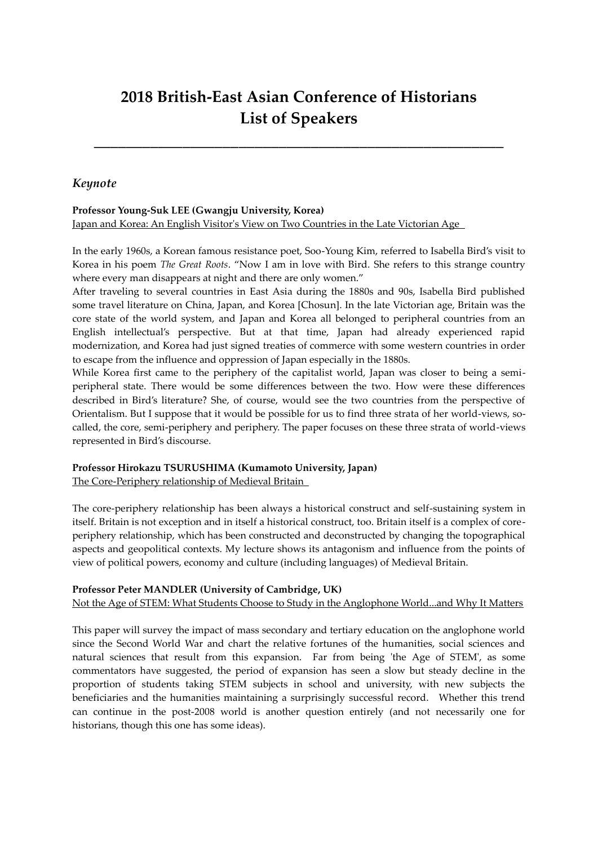# **2018 British-East Asian Conference of Historians List of Speakers**

**\_\_\_\_\_\_\_\_\_\_\_\_\_\_\_\_\_\_\_\_\_\_\_\_\_\_\_\_\_\_\_\_\_\_\_\_\_\_\_\_\_\_\_\_\_\_\_\_\_\_\_**

# *Keynote*

#### **Professor Young-Suk LEE (Gwangju University, Korea)**  Japan and Korea: An English Visitor's View on Two Countries in the Late Victorian Age

In the early 1960s, a Korean famous resistance poet, Soo-Young Kim, referred to Isabella Bird's visit to Korea in his poem *The Great Roots*. 'Now I am in love with Bird. She refers to this strange country where every man disappears at night and there are only women."

After traveling to several countries in East Asia during the 1880s and 90s, Isabella Bird published some travel literature on China, Japan, and Korea [Chosun]. In the late Victorian age, Britain was the core state of the world system, and Japan and Korea all belonged to peripheral countries from an English intellectual's perspective. But at that time, Japan had already experienced rapid modernization, and Korea had just signed treaties of commerce with some western countries in order to escape from the influence and oppression of Japan especially in the 1880s.

While Korea first came to the periphery of the capitalist world, Japan was closer to being a semiperipheral state. There would be some differences between the two. How were these differences described in Bird's literature? She, of course, would see the two countries from the perspective of Orientalism. But I suppose that it would be possible for us to find three strata of her world-views, socalled, the core, semi-periphery and periphery. The paper focuses on these three strata of world-views represented in Bird's discourse.

# **Professor Hirokazu TSURUSHIMA (Kumamoto University, Japan)**

The Core-Periphery relationship of Medieval Britain

The core-periphery relationship has been always a historical construct and self-sustaining system in itself. Britain is not exception and in itself a historical construct, too. Britain itself is a complex of coreperiphery relationship, which has been constructed and deconstructed by changing the topographical aspects and geopolitical contexts. My lecture shows its antagonism and influence from the points of view of political powers, economy and culture (including languages) of Medieval Britain.

#### **Professor Peter MANDLER (University of Cambridge, UK)**

#### Not the Age of STEM: What Students Choose to Study in the Anglophone World...and Why It Matters

This paper will survey the impact of mass secondary and tertiary education on the anglophone world since the Second World War and chart the relative fortunes of the humanities, social sciences and natural sciences that result from this expansion. Far from being 'the Age of STEM', as some commentators have suggested, the period of expansion has seen a slow but steady decline in the proportion of students taking STEM subjects in school and university, with new subjects the beneficiaries and the humanities maintaining a surprisingly successful record. Whether this trend can continue in the post-2008 world is another question entirely (and not necessarily one for historians, though this one has some ideas).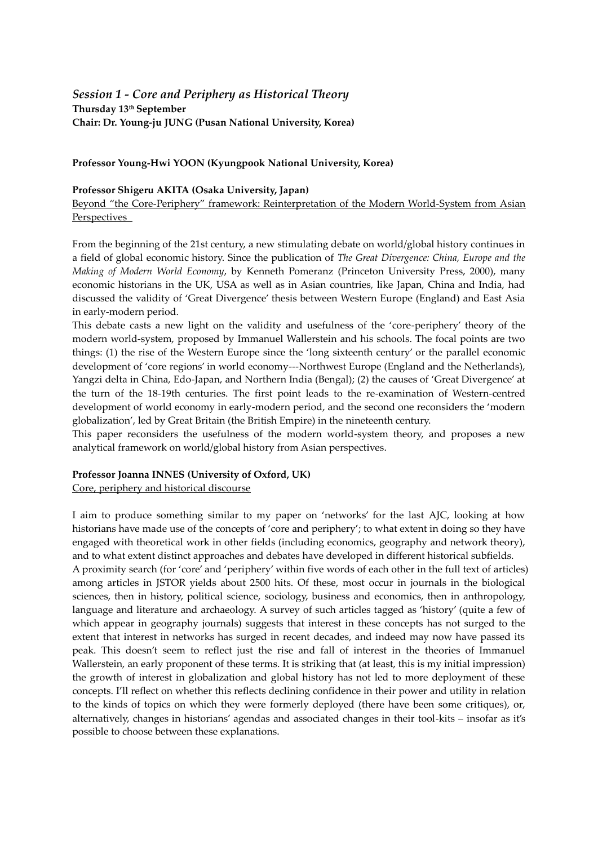# *Session 1 - Core and Periphery as Historical Theory* **Thursday 13th September Chair: Dr. Young-ju JUNG (Pusan National University, Korea)**

#### **Professor Young-Hwi YOON (Kyungpook National University, Korea)**

#### **Professor Shigeru AKITA (Osaka University, Japan)**

Beyond 'the Core-Periphery' framework: Reinterpretation of the Modern World-System from Asian Perspectives

From the beginning of the 21st century, a new stimulating debate on world/global history continues in a field of global economic history. Since the publication of *The Great Divergence: China, Europe and the Making of Modern World Economy*, by Kenneth Pomeranz (Princeton University Press, 2000), many economic historians in the UK, USA as well as in Asian countries, like Japan, China and India, had discussed the validity of 'Great Divergence' thesis between Western Europe (England) and East Asia in early-modern period.

This debate casts a new light on the validity and usefulness of the 'core-periphery' theory of the modern world-system, proposed by Immanuel Wallerstein and his schools. The focal points are two things: (1) the rise of the Western Europe since the 'long sixteenth century' or the parallel economic development of 'core regions' in world economy---Northwest Europe (England and the Netherlands), Yangzi delta in China, Edo-Japan, and Northern India (Bengal); (2) the causes of 'Great Divergence' at the turn of the 18-19th centuries. The first point leads to the re-examination of Western-centred development of world economy in early-modern period, and the second one reconsiders the 'modern globalization', led by Great Britain (the British Empire) in the nineteenth century.

This paper reconsiders the usefulness of the modern world-system theory, and proposes a new analytical framework on world/global history from Asian perspectives.

#### **Professor Joanna INNES (University of Oxford, UK)**

Core, periphery and historical discourse

I aim to produce something similar to my paper on 'networks' for the last AJC, looking at how historians have made use of the concepts of 'core and periphery'; to what extent in doing so they have engaged with theoretical work in other fields (including economics, geography and network theory), and to what extent distinct approaches and debates have developed in different historical subfields.

A proximity search (for 'core' and 'periphery' within five words of each other in the full text of articles) among articles in JSTOR yields about 2500 hits. Of these, most occur in journals in the biological sciences, then in history, political science, sociology, business and economics, then in anthropology, language and literature and archaeology. A survey of such articles tagged as 'history' (quite a few of which appear in geography journals) suggests that interest in these concepts has not surged to the extent that interest in networks has surged in recent decades, and indeed may now have passed its peak. This doesn't seem to reflect just the rise and fall of interest in the theories of Immanuel Wallerstein, an early proponent of these terms. It is striking that (at least, this is my initial impression) the growth of interest in globalization and global history has not led to more deployment of these concepts. I'll reflect on whether this reflects declining confidence in their power and utility in relation to the kinds of topics on which they were formerly deployed (there have been some critiques), or, alternatively, changes in historians' agendas and associated changes in their tool-kits – insofar as it's possible to choose between these explanations.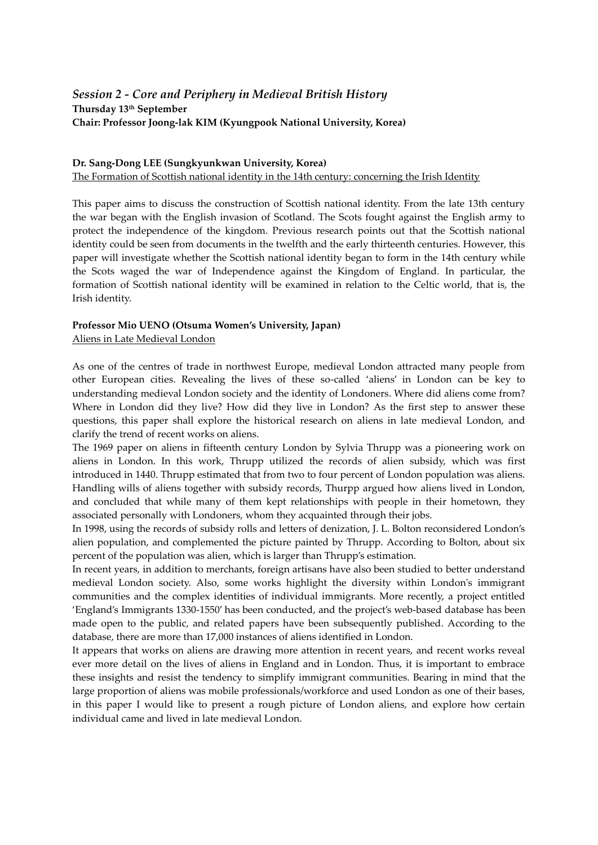# *Session 2 - Core and Periphery in Medieval British History* **Thursday 13th September Chair: Professor Joong-lak KIM (Kyungpook National University, Korea)**

#### **Dr. Sang-Dong LEE (Sungkyunkwan University, Korea)**

The Formation of Scottish national identity in the 14th century: concerning the Irish Identity

This paper aims to discuss the construction of Scottish national identity. From the late 13th century the war began with the English invasion of Scotland. The Scots fought against the English army to protect the independence of the kingdom. Previous research points out that the Scottish national identity could be seen from documents in the twelfth and the early thirteenth centuries. However, this paper will investigate whether the Scottish national identity began to form in the 14th century while the Scots waged the war of Independence against the Kingdom of England. In particular, the formation of Scottish national identity will be examined in relation to the Celtic world, that is, the Irish identity.

# **Professor Mio UENO (Otsuma Women's University, Japan)**

Aliens in Late Medieval London

As one of the centres of trade in northwest Europe, medieval London attracted many people from other European cities. Revealing the lives of these so-called 'aliens' in London can be key to understanding medieval London society and the identity of Londoners. Where did aliens come from? Where in London did they live? How did they live in London? As the first step to answer these questions, this paper shall explore the historical research on aliens in late medieval London, and clarify the trend of recent works on aliens.

The 1969 paper on aliens in fifteenth century London by Sylvia Thrupp was a pioneering work on aliens in London. In this work, Thrupp utilized the records of alien subsidy, which was first introduced in 1440. Thrupp estimated that from two to four percent of London population was aliens. Handling wills of aliens together with subsidy records, Thurpp argued how aliens lived in London, and concluded that while many of them kept relationships with people in their hometown, they associated personally with Londoners, whom they acquainted through their jobs.

In 1998, using the records of subsidy rolls and letters of denization, J. L. Bolton reconsidered London's alien population, and complemented the picture painted by Thrupp. According to Bolton, about six percent of the population was alien, which is larger than Thrupp's estimation.

In recent years, in addition to merchants, foreign artisans have also been studied to better understand medieval London society. Also, some works highlight the diversity within London's immigrant communities and the complex identities of individual immigrants. More recently, a project entitled 'England's Immigrants 1330-1550' has been conducted, and the project's web-based database has been made open to the public, and related papers have been subsequently published. According to the database, there are more than 17,000 instances of aliens identified in London.

It appears that works on aliens are drawing more attention in recent years, and recent works reveal ever more detail on the lives of aliens in England and in London. Thus, it is important to embrace these insights and resist the tendency to simplify immigrant communities. Bearing in mind that the large proportion of aliens was mobile professionals/workforce and used London as one of their bases, in this paper I would like to present a rough picture of London aliens, and explore how certain individual came and lived in late medieval London.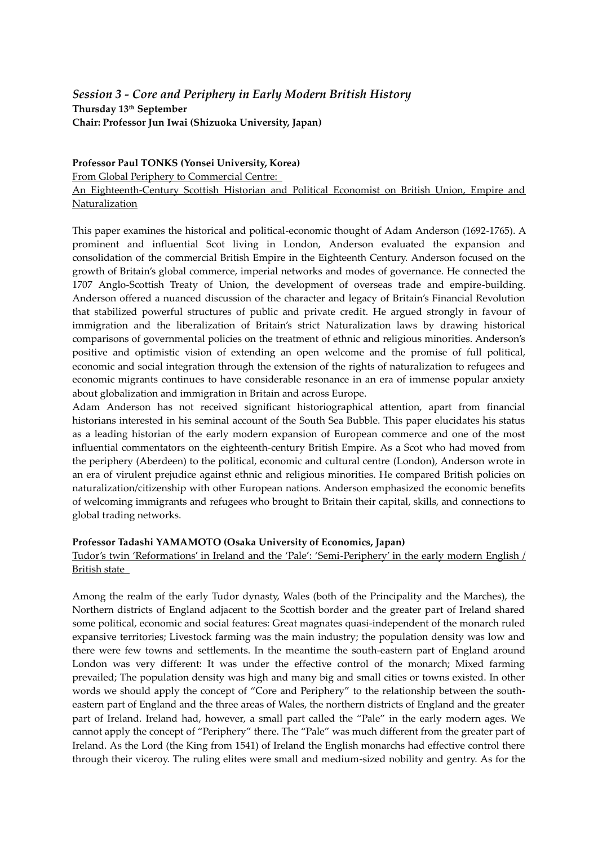# *Session 3 - Core and Periphery in Early Modern British History* **Thursday 13th September Chair: Professor Jun Iwai (Shizuoka University, Japan)**

**Professor Paul TONKS (Yonsei University, Korea)**  From Global Periphery to Commercial Centre: An Eighteenth-Century Scottish Historian and Political Economist on British Union, Empire and Naturalization

This paper examines the historical and political-economic thought of Adam Anderson (1692-1765). A prominent and influential Scot living in London, Anderson evaluated the expansion and consolidation of the commercial British Empire in the Eighteenth Century. Anderson focused on the growth of Britain's global commerce, imperial networks and modes of governance. He connected the 1707 Anglo-Scottish Treaty of Union, the development of overseas trade and empire-building. Anderson offered a nuanced discussion of the character and legacy of Britain's Financial Revolution that stabilized powerful structures of public and private credit. He argued strongly in favour of immigration and the liberalization of Britain's strict Naturalization laws by drawing historical comparisons of governmental policies on the treatment of ethnic and religious minorities. Anderson's positive and optimistic vision of extending an open welcome and the promise of full political, economic and social integration through the extension of the rights of naturalization to refugees and economic migrants continues to have considerable resonance in an era of immense popular anxiety about globalization and immigration in Britain and across Europe.

Adam Anderson has not received significant historiographical attention, apart from financial historians interested in his seminal account of the South Sea Bubble. This paper elucidates his status as a leading historian of the early modern expansion of European commerce and one of the most influential commentators on the eighteenth-century British Empire. As a Scot who had moved from the periphery (Aberdeen) to the political, economic and cultural centre (London), Anderson wrote in an era of virulent prejudice against ethnic and religious minorities. He compared British policies on naturalization/citizenship with other European nations. Anderson emphasized the economic benefits of welcoming immigrants and refugees who brought to Britain their capital, skills, and connections to global trading networks.

#### **Professor Tadashi YAMAMOTO (Osaka University of Economics, Japan)**

# Tudor's twin 'Reformations' in Ireland and the 'Pale': 'Semi-Periphery' in the early modern English / British state

Among the realm of the early Tudor dynasty, Wales (both of the Principality and the Marches), the Northern districts of England adjacent to the Scottish border and the greater part of Ireland shared some political, economic and social features: Great magnates quasi-independent of the monarch ruled expansive territories; Livestock farming was the main industry; the population density was low and there were few towns and settlements. In the meantime the south-eastern part of England around London was very different: It was under the effective control of the monarch; Mixed farming prevailed; The population density was high and many big and small cities or towns existed. In other words we should apply the concept of 'Core and Periphery' to the relationship between the southeastern part of England and the three areas of Wales, the northern districts of England and the greater part of Ireland. Ireland had, however, a small part called the 'Pale' in the early modern ages. We cannot apply the concept of 'Periphery' there. The 'Pale' was much different from the greater part of Ireland. As the Lord (the King from 1541) of Ireland the English monarchs had effective control there through their viceroy. The ruling elites were small and medium-sized nobility and gentry. As for the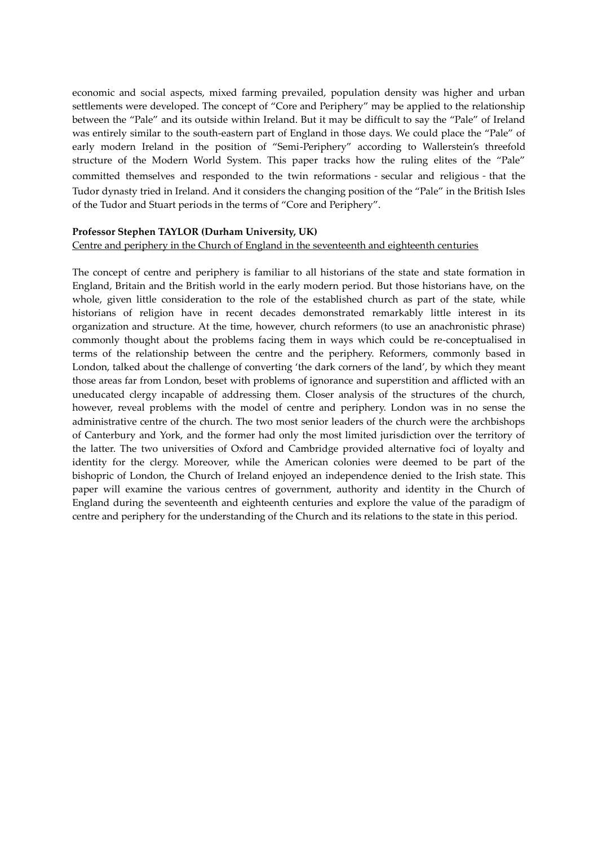economic and social aspects, mixed farming prevailed, population density was higher and urban settlements were developed. The concept of 'Core and Periphery' may be applied to the relationship between the 'Pale' and its outside within Ireland. But it may be difficult to say the 'Pale' of Ireland was entirely similar to the south-eastern part of England in those days. We could place the 'Pale' of early modern Ireland in the position of 'Semi-Periphery' according to Wallerstein's threefold structure of the Modern World System. This paper tracks how the ruling elites of the 'Pale' committed themselves and responded to the twin reformations-secular and religious-that the Tudor dynasty tried in Ireland. And it considers the changing position of the 'Pale' in the British Isles of the Tudor and Stuart periods in the terms of 'Core and Periphery'.

# **Professor Stephen TAYLOR (Durham University, UK)**

#### Centre and periphery in the Church of England in the seventeenth and eighteenth centuries

The concept of centre and periphery is familiar to all historians of the state and state formation in England, Britain and the British world in the early modern period. But those historians have, on the whole, given little consideration to the role of the established church as part of the state, while historians of religion have in recent decades demonstrated remarkably little interest in its organization and structure. At the time, however, church reformers (to use an anachronistic phrase) commonly thought about the problems facing them in ways which could be re-conceptualised in terms of the relationship between the centre and the periphery. Reformers, commonly based in London, talked about the challenge of converting 'the dark corners of the land', by which they meant those areas far from London, beset with problems of ignorance and superstition and afflicted with an uneducated clergy incapable of addressing them. Closer analysis of the structures of the church, however, reveal problems with the model of centre and periphery. London was in no sense the administrative centre of the church. The two most senior leaders of the church were the archbishops of Canterbury and York, and the former had only the most limited jurisdiction over the territory of the latter. The two universities of Oxford and Cambridge provided alternative foci of loyalty and identity for the clergy. Moreover, while the American colonies were deemed to be part of the bishopric of London, the Church of Ireland enjoyed an independence denied to the Irish state. This paper will examine the various centres of government, authority and identity in the Church of England during the seventeenth and eighteenth centuries and explore the value of the paradigm of centre and periphery for the understanding of the Church and its relations to the state in this period.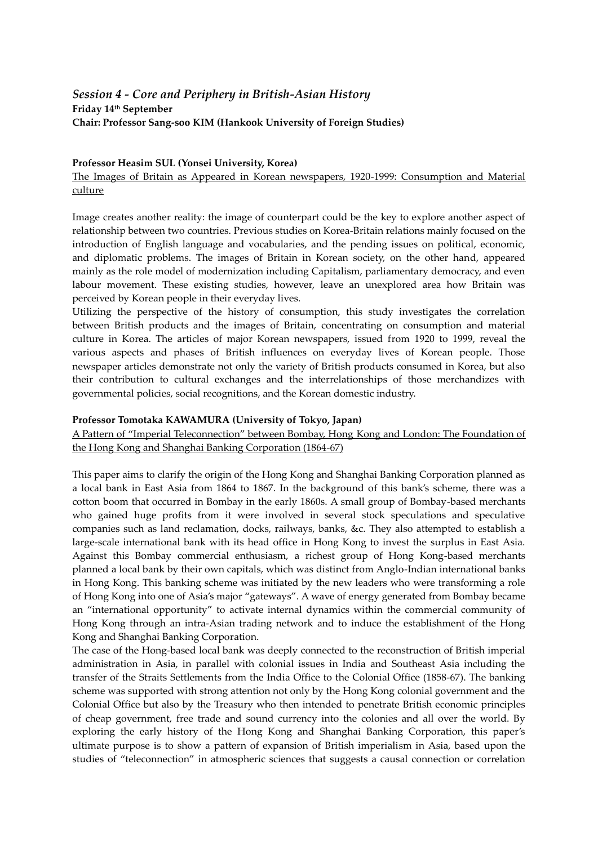# *Session 4 - Core and Periphery in British-Asian History* **Friday 14th September Chair: Professor Sang-soo KIM (Hankook University of Foreign Studies)**

#### **Professor Heasim SUL (Yonsei University, Korea)**

#### The Images of Britain as Appeared in Korean newspapers, 1920-1999: Consumption and Material culture

Image creates another reality: the image of counterpart could be the key to explore another aspect of relationship between two countries. Previous studies on Korea-Britain relations mainly focused on the introduction of English language and vocabularies, and the pending issues on political, economic, and diplomatic problems. The images of Britain in Korean society, on the other hand, appeared mainly as the role model of modernization including Capitalism, parliamentary democracy, and even labour movement. These existing studies, however, leave an unexplored area how Britain was perceived by Korean people in their everyday lives.

Utilizing the perspective of the history of consumption, this study investigates the correlation between British products and the images of Britain, concentrating on consumption and material culture in Korea. The articles of major Korean newspapers, issued from 1920 to 1999, reveal the various aspects and phases of British influences on everyday lives of Korean people. Those newspaper articles demonstrate not only the variety of British products consumed in Korea, but also their contribution to cultural exchanges and the interrelationships of those merchandizes with governmental policies, social recognitions, and the Korean domestic industry.

#### **Professor Tomotaka KAWAMURA (University of Tokyo, Japan)**

A Pattern of 'Imperial Teleconnection' between Bombay, Hong Kong and London: The Foundation of the Hong Kong and Shanghai Banking Corporation (1864-67)

This paper aims to clarify the origin of the Hong Kong and Shanghai Banking Corporation planned as a local bank in East Asia from 1864 to 1867. In the background of this bank's scheme, there was a cotton boom that occurred in Bombay in the early 1860s. A small group of Bombay-based merchants who gained huge profits from it were involved in several stock speculations and speculative companies such as land reclamation, docks, railways, banks, &c. They also attempted to establish a large-scale international bank with its head office in Hong Kong to invest the surplus in East Asia. Against this Bombay commercial enthusiasm, a richest group of Hong Kong-based merchants planned a local bank by their own capitals, which was distinct from Anglo-Indian international banks in Hong Kong. This banking scheme was initiated by the new leaders who were transforming a role of Hong Kong into one of Asia's major 'gateways'. A wave of energy generated from Bombay became an 'international opportunity' to activate internal dynamics within the commercial community of Hong Kong through an intra-Asian trading network and to induce the establishment of the Hong Kong and Shanghai Banking Corporation.

The case of the Hong-based local bank was deeply connected to the reconstruction of British imperial administration in Asia, in parallel with colonial issues in India and Southeast Asia including the transfer of the Straits Settlements from the India Office to the Colonial Office (1858-67). The banking scheme was supported with strong attention not only by the Hong Kong colonial government and the Colonial Office but also by the Treasury who then intended to penetrate British economic principles of cheap government, free trade and sound currency into the colonies and all over the world. By exploring the early history of the Hong Kong and Shanghai Banking Corporation, this paper's ultimate purpose is to show a pattern of expansion of British imperialism in Asia, based upon the studies of 'teleconnection' in atmospheric sciences that suggests a causal connection or correlation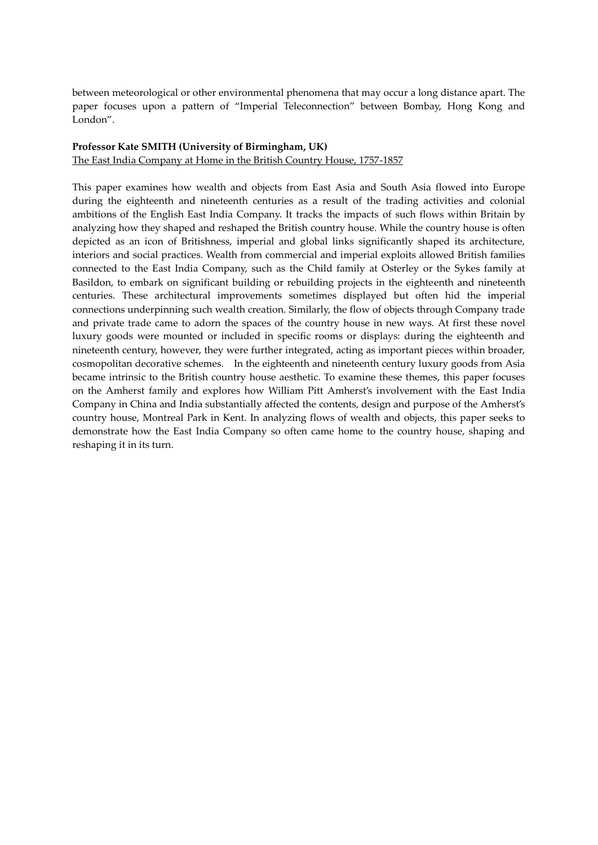between meteorological or other environmental phenomena that may occur a long distance apart. The paper focuses upon a pattern of 'Imperial Teleconnection' between Bombay, Hong Kong and London'.

#### **Professor Kate SMITH (University of Birmingham, UK)**

The East India Company at Home in the British Country House, 1757-1857

This paper examines how wealth and objects from East Asia and South Asia flowed into Europe during the eighteenth and nineteenth centuries as a result of the trading activities and colonial ambitions of the English East India Company. It tracks the impacts of such flows within Britain by analyzing how they shaped and reshaped the British country house. While the country house is often depicted as an icon of Britishness, imperial and global links significantly shaped its architecture, interiors and social practices. Wealth from commercial and imperial exploits allowed British families connected to the East India Company, such as the Child family at Osterley or the Sykes family at Basildon, to embark on significant building or rebuilding projects in the eighteenth and nineteenth centuries. These architectural improvements sometimes displayed but often hid the imperial connections underpinning such wealth creation. Similarly, the flow of objects through Company trade and private trade came to adorn the spaces of the country house in new ways. At first these novel luxury goods were mounted or included in specific rooms or displays: during the eighteenth and nineteenth century, however, they were further integrated, acting as important pieces within broader, cosmopolitan decorative schemes. In the eighteenth and nineteenth century luxury goods from Asia became intrinsic to the British country house aesthetic. To examine these themes, this paper focuses on the Amherst family and explores how William Pitt Amherst's involvement with the East India Company in China and India substantially affected the contents, design and purpose of the Amherst's country house, Montreal Park in Kent. In analyzing flows of wealth and objects, this paper seeks to demonstrate how the East India Company so often came home to the country house, shaping and reshaping it in its turn.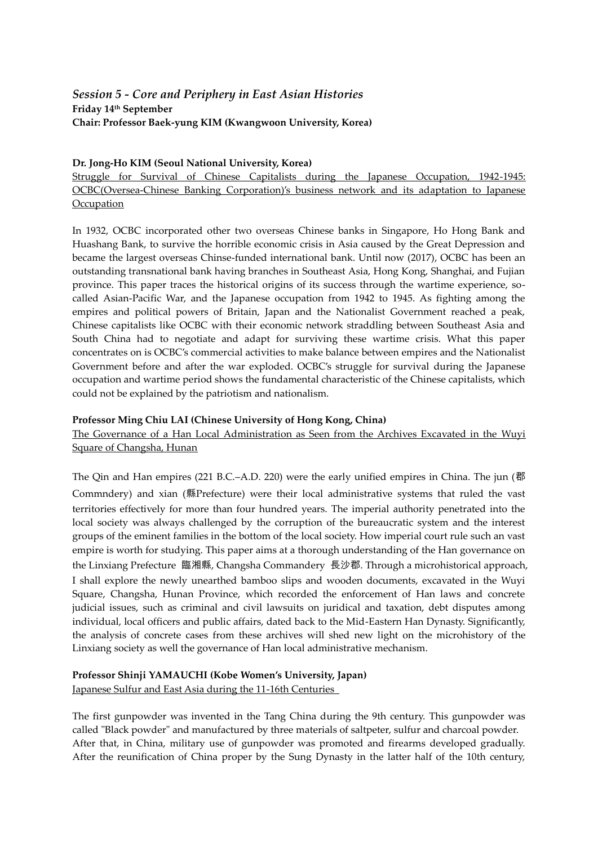# *Session 5 - Core and Periphery in East Asian Histories* **Friday 14th September Chair: Professor Baek-yung KIM (Kwangwoon University, Korea)**

#### **Dr. Jong-Ho KIM (Seoul National University, Korea)**

Struggle for Survival of Chinese Capitalists during the Japanese Occupation, 1942-1945: OCBC(Oversea-Chinese Banking Corporation)'s business network and its adaptation to Japanese **Occupation** 

In 1932, OCBC incorporated other two overseas Chinese banks in Singapore, Ho Hong Bank and Huashang Bank, to survive the horrible economic crisis in Asia caused by the Great Depression and became the largest overseas Chinse-funded international bank. Until now (2017), OCBC has been an outstanding transnational bank having branches in Southeast Asia, Hong Kong, Shanghai, and Fujian province. This paper traces the historical origins of its success through the wartime experience, socalled Asian-Pacific War, and the Japanese occupation from 1942 to 1945. As fighting among the empires and political powers of Britain, Japan and the Nationalist Government reached a peak, Chinese capitalists like OCBC with their economic network straddling between Southeast Asia and South China had to negotiate and adapt for surviving these wartime crisis. What this paper concentrates on is OCBC's commercial activities to make balance between empires and the Nationalist Government before and after the war exploded. OCBC's struggle for survival during the Japanese occupation and wartime period shows the fundamental characteristic of the Chinese capitalists, which could not be explained by the patriotism and nationalism.

#### **Professor Ming Chiu LAI (Chinese University of Hong Kong, China)**

The Governance of a Han Local Administration as Seen from the Archives Excavated in the Wuyi Square of Changsha, Hunan

The Qin and Han empires (221 B.C.–A.D. 220) were the early unified empires in China. The jun (郡 Commndery) and xian (縣Prefecture) were their local administrative systems that ruled the vast territories effectively for more than four hundred years. The imperial authority penetrated into the local society was always challenged by the corruption of the bureaucratic system and the interest groups of the eminent families in the bottom of the local society. How imperial court rule such an vast empire is worth for studying. This paper aims at a thorough understanding of the Han governance on the Linxiang Prefecture 臨湘縣, Changsha Commandery 長沙郡. Through a microhistorical approach, I shall explore the newly unearthed bamboo slips and wooden documents, excavated in the Wuyi Square, Changsha, Hunan Province, which recorded the enforcement of Han laws and concrete judicial issues, such as criminal and civil lawsuits on juridical and taxation, debt disputes among individual, local officers and public affairs, dated back to the Mid-Eastern Han Dynasty. Significantly, the analysis of concrete cases from these archives will shed new light on the microhistory of the Linxiang society as well the governance of Han local administrative mechanism.

# **Professor Shinji YAMAUCHI (Kobe Women's University, Japan)**

Japanese Sulfur and East Asia during the 11-16th Centuries

The first gunpowder was invented in the Tang China during the 9th century. This gunpowder was called "Black powder" and manufactured by three materials of saltpeter, sulfur and charcoal powder. After that, in China, military use of gunpowder was promoted and firearms developed gradually. After the reunification of China proper by the Sung Dynasty in the latter half of the 10th century,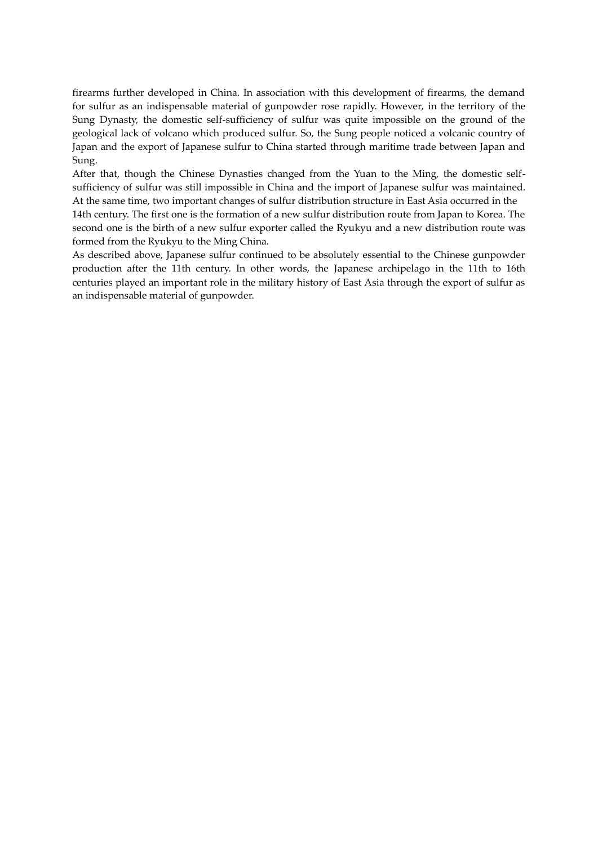firearms further developed in China. In association with this development of firearms, the demand for sulfur as an indispensable material of gunpowder rose rapidly. However, in the territory of the Sung Dynasty, the domestic self-sufficiency of sulfur was quite impossible on the ground of the geological lack of volcano which produced sulfur. So, the Sung people noticed a volcanic country of Japan and the export of Japanese sulfur to China started through maritime trade between Japan and Sung.

After that, though the Chinese Dynasties changed from the Yuan to the Ming, the domestic selfsufficiency of sulfur was still impossible in China and the import of Japanese sulfur was maintained. At the same time, two important changes of sulfur distribution structure in East Asia occurred in the

14th century. The first one is the formation of a new sulfur distribution route from Japan to Korea. The second one is the birth of a new sulfur exporter called the Ryukyu and a new distribution route was formed from the Ryukyu to the Ming China.

As described above, Japanese sulfur continued to be absolutely essential to the Chinese gunpowder production after the 11th century. In other words, the Japanese archipelago in the 11th to 16th centuries played an important role in the military history of East Asia through the export of sulfur as an indispensable material of gunpowder.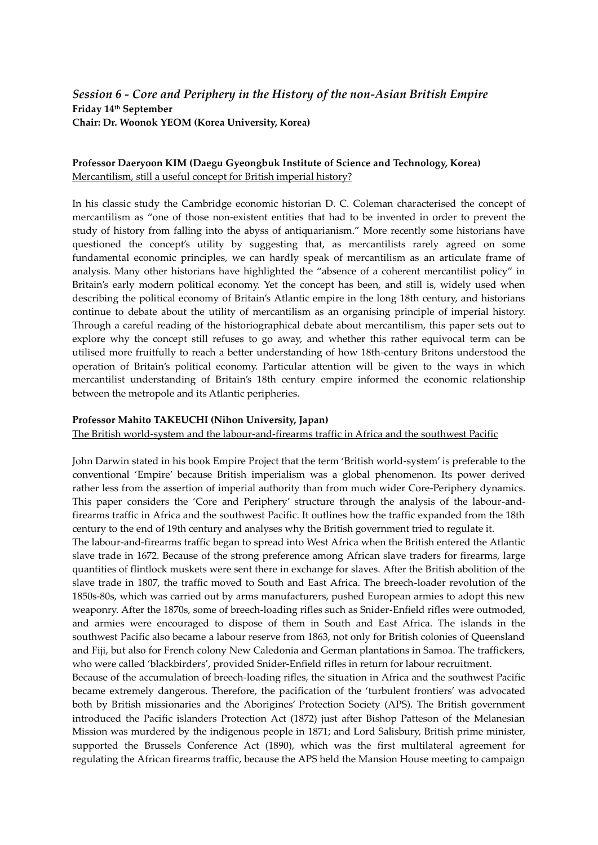# *Session 6 - Core and Periphery in the History of the non-Asian British Empire* **Friday 14th September Chair: Dr. Woonok YEOM (Korea University, Korea)**

### **Professor Daeryoon KIM (Daegu Gyeongbuk Institute of Science and Technology, Korea)**  Mercantilism, still a useful concept for British imperial history?

In his classic study the Cambridge economic historian D. C. Coleman characterised the concept of mercantilism as 'one of those non-existent entities that had to be invented in order to prevent the study of history from falling into the abyss of antiquarianism.' More recently some historians have questioned the concept's utility by suggesting that, as mercantilists rarely agreed on some fundamental economic principles, we can hardly speak of mercantilism as an articulate frame of analysis. Many other historians have highlighted the 'absence of a coherent mercantilist policy' in Britain's early modern political economy. Yet the concept has been, and still is, widely used when describing the political economy of Britain's Atlantic empire in the long 18th century, and historians continue to debate about the utility of mercantilism as an organising principle of imperial history. Through a careful reading of the historiographical debate about mercantilism, this paper sets out to explore why the concept still refuses to go away, and whether this rather equivocal term can be utilised more fruitfully to reach a better understanding of how 18th-century Britons understood the operation of Britain's political economy. Particular attention will be given to the ways in which mercantilist understanding of Britain's 18th century empire informed the economic relationship between the metropole and its Atlantic peripheries.

#### **Professor Mahito TAKEUCHI (Nihon University, Japan)**

The British world-system and the labour-and-firearms traffic in Africa and the southwest Pacific

John Darwin stated in his book Empire Project that the term 'British world-system' is preferable to the conventional 'Empire' because British imperialism was a global phenomenon. Its power derived rather less from the assertion of imperial authority than from much wider Core-Periphery dynamics. This paper considers the 'Core and Periphery' structure through the analysis of the labour-andfirearms traffic in Africa and the southwest Pacific. It outlines how the traffic expanded from the 18th century to the end of 19th century and analyses why the British government tried to regulate it.

The labour-and-firearms traffic began to spread into West Africa when the British entered the Atlantic slave trade in 1672. Because of the strong preference among African slave traders for firearms, large quantities of flintlock muskets were sent there in exchange for slaves. After the British abolition of the slave trade in 1807, the traffic moved to South and East Africa. The breech-loader revolution of the 1850s-80s, which was carried out by arms manufacturers, pushed European armies to adopt this new weaponry. After the 1870s, some of breech-loading rifles such as Snider-Enfield rifles were outmoded, and armies were encouraged to dispose of them in South and East Africa. The islands in the southwest Pacific also became a labour reserve from 1863, not only for British colonies of Queensland and Fiji, but also for French colony New Caledonia and German plantations in Samoa. The traffickers, who were called 'blackbirders', provided Snider-Enfield rifles in return for labour recruitment.

Because of the accumulation of breech-loading rifles, the situation in Africa and the southwest Pacific became extremely dangerous. Therefore, the pacification of the 'turbulent frontiers' was advocated both by British missionaries and the Aborigines' Protection Society (APS). The British government introduced the Pacific islanders Protection Act (1872) just after Bishop Patteson of the Melanesian Mission was murdered by the indigenous people in 1871; and Lord Salisbury, British prime minister, supported the Brussels Conference Act (1890), which was the first multilateral agreement for regulating the African firearms traffic, because the APS held the Mansion House meeting to campaign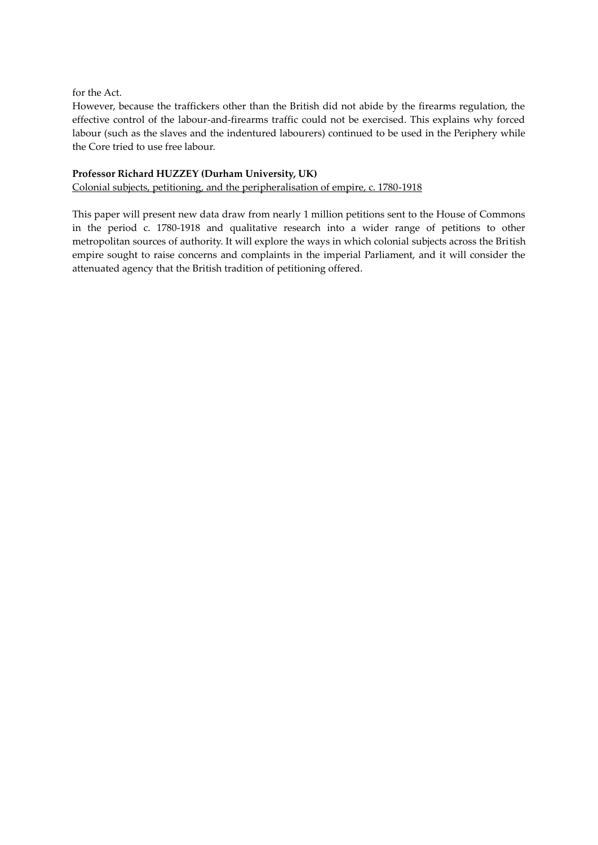for the Act.

However, because the traffickers other than the British did not abide by the firearms regulation, the effective control of the labour-and-firearms traffic could not be exercised. This explains why forced labour (such as the slaves and the indentured labourers) continued to be used in the Periphery while the Core tried to use free labour.

#### **Professor Richard HUZZEY (Durham University, UK)**

Colonial subjects, petitioning, and the peripheralisation of empire, c. 1780-1918

This paper will present new data draw from nearly 1 million petitions sent to the House of Commons in the period c. 1780-1918 and qualitative research into a wider range of petitions to other metropolitan sources of authority. It will explore the ways in which colonial subjects across the British empire sought to raise concerns and complaints in the imperial Parliament, and it will consider the attenuated agency that the British tradition of petitioning offered.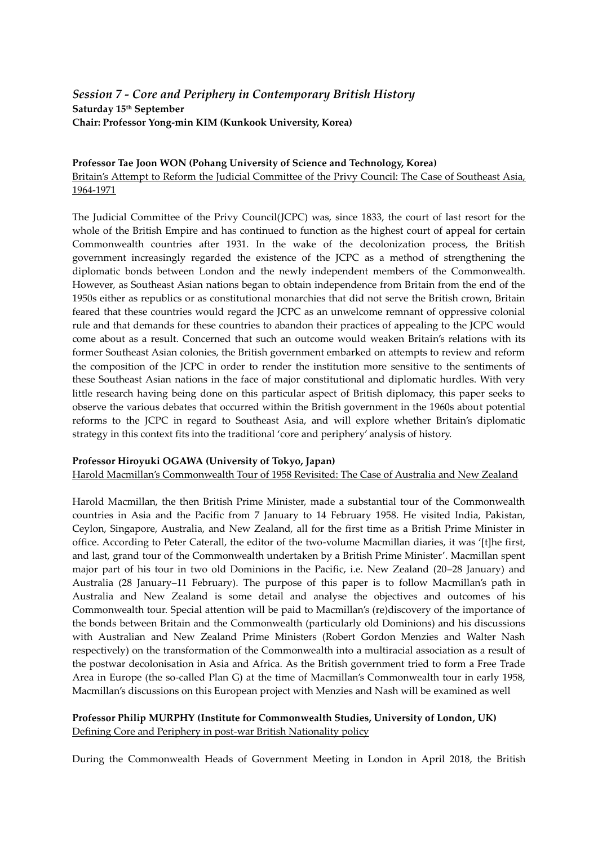# *Session 7 - Core and Periphery in Contemporary British History*  **Saturday 15th September Chair: Professor Yong-min KIM (Kunkook University, Korea)**

#### **Professor Tae Joon WON (Pohang University of Science and Technology, Korea)**

### Britain's Attempt to Reform the Judicial Committee of the Privy Council: The Case of Southeast Asia, 1964-1971

The Judicial Committee of the Privy Council(JCPC) was, since 1833, the court of last resort for the whole of the British Empire and has continued to function as the highest court of appeal for certain Commonwealth countries after 1931. In the wake of the decolonization process, the British government increasingly regarded the existence of the JCPC as a method of strengthening the diplomatic bonds between London and the newly independent members of the Commonwealth. However, as Southeast Asian nations began to obtain independence from Britain from the end of the 1950s either as republics or as constitutional monarchies that did not serve the British crown, Britain feared that these countries would regard the JCPC as an unwelcome remnant of oppressive colonial rule and that demands for these countries to abandon their practices of appealing to the JCPC would come about as a result. Concerned that such an outcome would weaken Britain's relations with its former Southeast Asian colonies, the British government embarked on attempts to review and reform the composition of the JCPC in order to render the institution more sensitive to the sentiments of these Southeast Asian nations in the face of major constitutional and diplomatic hurdles. With very little research having being done on this particular aspect of British diplomacy, this paper seeks to observe the various debates that occurred within the British government in the 1960s about potential reforms to the JCPC in regard to Southeast Asia, and will explore whether Britain's diplomatic strategy in this context fits into the traditional 'core and periphery' analysis of history.

#### **Professor Hiroyuki OGAWA (University of Tokyo, Japan)**

Harold Macmillan's Commonwealth Tour of 1958 Revisited: The Case of Australia and New Zealand

Harold Macmillan, the then British Prime Minister, made a substantial tour of the Commonwealth countries in Asia and the Pacific from 7 January to 14 February 1958. He visited India, Pakistan, Ceylon, Singapore, Australia, and New Zealand, all for the first time as a British Prime Minister in office. According to Peter Caterall, the editor of the two-volume Macmillan diaries, it was '[t]he first, and last, grand tour of the Commonwealth undertaken by a British Prime Minister'. Macmillan spent major part of his tour in two old Dominions in the Pacific, i.e. New Zealand (20–28 January) and Australia (28 January–11 February). The purpose of this paper is to follow Macmillan's path in Australia and New Zealand is some detail and analyse the objectives and outcomes of his Commonwealth tour. Special attention will be paid to Macmillan's (re)discovery of the importance of the bonds between Britain and the Commonwealth (particularly old Dominions) and his discussions with Australian and New Zealand Prime Ministers (Robert Gordon Menzies and Walter Nash respectively) on the transformation of the Commonwealth into a multiracial association as a result of the postwar decolonisation in Asia and Africa. As the British government tried to form a Free Trade Area in Europe (the so-called Plan G) at the time of Macmillan's Commonwealth tour in early 1958, Macmillan's discussions on this European project with Menzies and Nash will be examined as well

# **Professor Philip MURPHY (Institute for Commonwealth Studies, University of London, UK)** Defining Core and Periphery in post-war British Nationality policy

During the Commonwealth Heads of Government Meeting in London in April 2018, the British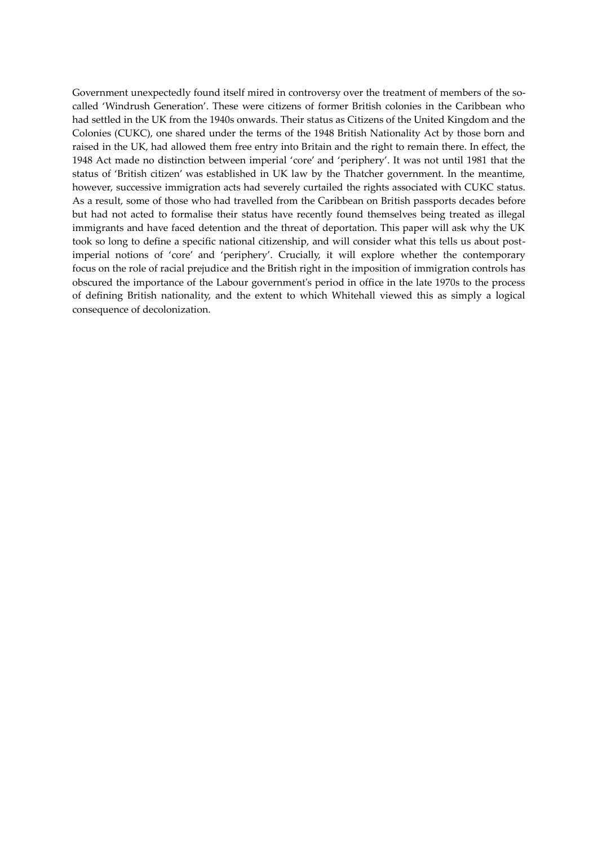Government unexpectedly found itself mired in controversy over the treatment of members of the socalled 'Windrush Generation'. These were citizens of former British colonies in the Caribbean who had settled in the UK from the 1940s onwards. Their status as Citizens of the United Kingdom and the Colonies (CUKC), one shared under the terms of the 1948 British Nationality Act by those born and raised in the UK, had allowed them free entry into Britain and the right to remain there. In effect, the 1948 Act made no distinction between imperial 'core' and 'periphery'. It was not until 1981 that the status of 'British citizen' was established in UK law by the Thatcher government. In the meantime, however, successive immigration acts had severely curtailed the rights associated with CUKC status. As a result, some of those who had travelled from the Caribbean on British passports decades before but had not acted to formalise their status have recently found themselves being treated as illegal immigrants and have faced detention and the threat of deportation. This paper will ask why the UK took so long to define a specific national citizenship, and will consider what this tells us about postimperial notions of 'core' and 'periphery'. Crucially, it will explore whether the contemporary focus on the role of racial prejudice and the British right in the imposition of immigration controls has obscured the importance of the Labour government's period in office in the late 1970s to the process of defining British nationality, and the extent to which Whitehall viewed this as simply a logical consequence of decolonization.